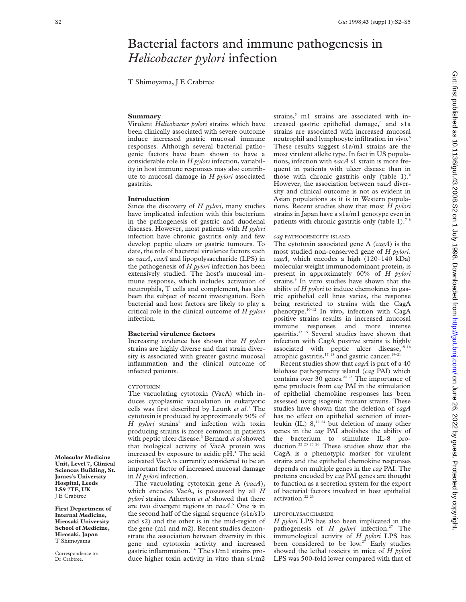# Bacterial factors and immune pathogenesis in *Helicobacter pylori* infection

T Shimoyama, J E Crabtree

# **Summary**

Virulent *Helicobacter pylori* strains which have been clinically associated with severe outcome induce increased gastric mucosal immune responses. Although several bacterial pathogenic factors have been shown to have a considerable role in *H pylori* infection, variability in host immune responses may also contribute to mucosal damage in *H pylori* associated gastritis.

## **Introduction**

Since the discovery of *H pylori*, many studies have implicated infection with this bacterium in the pathogenesis of gastric and duodenal diseases. However, most patients with *H pylori* infection have chronic gastritis only and few develop peptic ulcers or gastric tumours. To date, the role of bacterial virulence factors such as *vacA*, *cagA* and lipopolysaccharide (LPS) in the pathogenesis of *H pylori* infection has been extensively studied. The host's mucosal immune response, which includes activation of neutrophils, T cells and complement, has also been the subject of recent investigation. Both bacterial and host factors are likely to play a critical role in the clinical outcome of *H pylori* infection.

### **Bacterial virulence factors**

Increasing evidence has shown that *H pylori* strains are highly diverse and that strain diversity is associated with greater gastric mucosal inflammation and the clinical outcome of infected patients.

#### CYTOTOXIN

The vacuolating cytotoxin (VacA) which induces cytoplasmic vacuolation in eukaryotic cells was first described by Leunk *et al*. <sup>1</sup> The cytotoxin is produced by approximately 50% of *H pylori* strains<sup>2</sup> and infection with toxin producing strains is more common in patients with peptic ulcer disease.3 Bernard *et al* showed that biological activity of VacA protein was increased by exposure to acidic pH.4 The acid activated VacA is currently considered to be an important factor of increased mucosal damage in *H pylori* infection.

The vacuolating cytotoxin gene A (*vacA*), which encodes VacA, is possessed by all *H pylori* strains. Atherton *et al* showed that there are two divergent regions in *vacA*. <sup>5</sup> One is in the second half of the signal sequence (s1a/s1b and s2) and the other is in the mid-region of the gene (m1 and m2). Recent studies demonstrate the association between diversity in this gene and cytotoxin activity and increased gastric inflammation.5 6 The s1/m1 strains produce higher toxin activity in vitro than s1/m2

strains,<sup>5</sup> m1 strains are associated with increased gastric epithelial damage,<sup>6</sup> and s1a strains are associated with increased mucosal neutrophil and lymphocyte infiltration in vivo.<sup>6</sup> These results suggest s1a/m1 strains are the most virulent allelic type. In fact in US populations, infection with *vacA* s1 strain is more frequent in patients with ulcer disease than in those with chronic gastritis only (table  $1$ ).<sup>6</sup> However, the association between *vacA* diversity and clinical outcome is not as evident in Asian populations as it is in Western populations. Recent studies show that most *H pylori* strains in Japan have a s1a/m1 genotype even in patients with chronic gastritis only (table 1).<sup>7</sup>

# *cag* PATHOGENICITY ISLAND

The cytotoxin associated gene A (*cagA*) is the most studied non-conserved gene of *H pylori. cagA*, which encodes a high (120–140 kDa) molecular weight immunodominant protein, is present in approximately 60% of *H pylori* strains.<sup>9</sup> In vitro studies have shown that the ability of *H pylori* to induce chemokines in gastric epithelial cell lines varies, the response being restricted to strains with the CagA phenotype.10–12 In vivo, infection with CagA positive strains results in increased mucosal immune responses and more intense gastritis.13–15 Several studies have shown that infection with CagA positive strains is highly associated with peptic ulcer disease,<sup>15 16</sup> atrophic gastritis,<sup>17</sup> <sup>18</sup> and gastric cancer.<sup>19-21</sup>

Recent studies show that *cagA* is part of a 40 kilobase pathogenicity island (*cag* PAI) which contains over 30 genes.<sup>22 23</sup> The importance of gene products from *cag* PAI in the stimulation of epithelial chemokine responses has been assessed using isogenic mutant strains. These studies have shown that the deletion of *cagA* has no effect on epithelial secretion of interleukin (IL)  $8^{12}$ ,<sup>12</sup> but deletion of many other genes in the *cag* PAI abolishes the ability of the bacterium to stimulate IL-8 production.<sup>22 23 25 26</sup> These studies show that the CagA is a phenotypic marker for virulent strains and the epithelial chemokine responses depends on multiple genes in the *cag* PAI. The proteins encoded by *cag* PAI genes are thought to function as a secretion system for the export of bacterial factors involved in host epithelial activation.<sup>22</sup> <sup>23</sup>

# LIPOPOLYSACCHARIDE

*H pylori* LPS has also been implicated in the pathogenesis of *H pylori* infection.<sup>27</sup> The immunological activity of *H pylori* LPS has been considered to be low.<sup>27</sup> Early studies showed the lethal toxicity in mice of *H pylori* LPS was 500-fold lower compared with that of

**Molecular Medicine Unit, Level 7, Clinical Sciences Building, St. James's University Hospital, Leeds LS9 7TF, UK** J E Crabtree

**First Department of Internal Medicine, Hirosaki University School of Medicine, Hirosaki, Japan** T Shimoyama

Correspondence to: Dr Crabtree.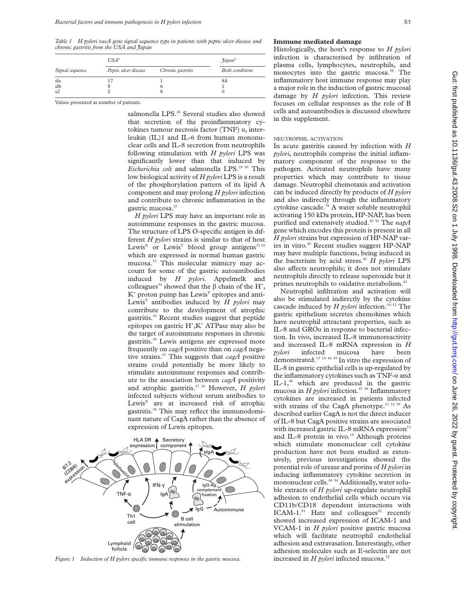*Table 1 H pylori vacA gene signal sequence type in patients with peptic ulcer disease and chronic gastritis from the USA and Japan*

| Signal sequence | USA <sup>6</sup>     |                   | $\mathcal{J}apan^s$    |
|-----------------|----------------------|-------------------|------------------------|
|                 | Peptic ulcer disease | Chronic gastritis | <b>Both</b> conditions |
| sla             |                      |                   | 84                     |
| slb             |                      |                   |                        |
| s2              |                      | ×                 |                        |

Values presented as number of patients.

salmonella LPS.<sup>28</sup> Several studies also showed that secretion of the proinflammatory cytokines tumour necrosis factor (TNF)  $\alpha$ , interleukin (IL)1 and IL-6 from human mononuclear cells and IL-8 secretion from neutrophils following stimulation with *H pylori* LPS was significantly lower than that induced by *Escherichia coli* and salmonella LPS.<sup>29 30</sup> This low biological activity of *H pylori* LPS is a result of the phosphorylation pattern of its lipid A component and may prolong *H pylori* infection and contribute to chronic inflammation in the gastric mucosa.<sup>27</sup>

*H pylori* LPS may have an important role in autoimmune responses in the gastric mucosa. The structure of LPS O-specific antigen in different *H pylori* strains is similar to that of host Lewis<sup>X</sup> or Lewis<sup>Y</sup> blood group antigens<sup>31 32</sup> which are expressed in normal human gastric mucosa.<sup>33</sup> This molecular mimicry may account for some of the gastric autoantibodies induced by *H pylori*. Appelmelk and colleagues<sup>34</sup> showed that the  $\beta$  chain of the H<sup>+</sup>,  $K^+$  proton pump has Lewis<sup>Y</sup> epitopes and anti-Lewis<sup>Y</sup> antibodies induced by *H pylori* may contribute to the development of atrophic gastritis.35 Recent studies suggest that peptide epitopes on gastric H<sup>+</sup>,K<sup>+</sup> ATPase may also be the target of autoimmune responses in chronic gastritis.36 Lewis antigens are expressed more frequently on *cagA* positive than on *cagA* negative strains.37 This suggests that *cagA* positive strains could potentially be more likely to stimulate autoimmune responses and contribute to the association between *cagA* positivity and atrophic gastritis.17 18 However, *H pylori* infected subjects without serum antibodies to Lewis<sup>x</sup> are at increased risk of atrophic gastritis.<sup>38</sup> This may reflect the immunodominant nature of CagA rather than the absence of expression of Lewis epitopes.



*Figure 1 Induction of H pylori specific immune responses in the gastric mucosa.*

## **Immune mediated damage**

Histologically, the host's response to *H pylori* infection is characterised by infiltration of plasma cells, lymphocytes, neutrophils, and monocytes into the gastric mucosa.<sup>39</sup> The inflammatory host immune response may play a major role in the induction of gastric mucosal damage by *H pylori* infection. This review focuses on cellular responses as the role of B cells and autoantibodies is discussed elsewhere in this supplement.

# NEUTROPHIL ACTIVATION

In acute gastritis caused by infection with *H pylori*, neutrophils comprise the initial inflammatory component of the response to the pathogen. Activated neutrophils have many properties which may contribute to tissue damage. Neutrophil chemotaxis and activation can be induced directly by products of *H pylori* and also indirectly through the inflammatory cytokine cascade.<sup>39</sup> A water soluble neutrophil activating 150 kDa protein, HP-NAP, has been purified and extensively studied.40 41 The *napA* gene which encodes this protein is present in all *H pylori* strains but expression of HP-NAP varies in vitro.<sup>40</sup> Recent studies suggest HP-NAP may have multiple functions, being induced in the bacterium by acid stress.42 *H pylori* LPS also affects neutrophils; it does not stimulate neutrophils directly to release superoxide but it primes neutrophils to oxidative metabolism.<sup>43</sup>

Neutrophil infiltration and activation will also be stimulated indirectly by the cytokine cascade induced by  $H$  *pylori* infection.<sup>10–12</sup> The gastric epithelium secretes chemokines which have neutrophil attractant properties, such as IL-8 and GRO $\alpha$  in response to bacterial infection. In vivo, increased IL-8 immunoreactivity and increased IL-8 mRNA expression in *H pylori* infected mucosa have been demonstrated.13 14 44 45 In vitro the expression of IL-8 in gastric epithelial cells is up-regulated by the inflammatory cytokines such as  $TNF-\alpha$  and IL-1, $46$  which are produced in the gastric mucosa in *H pylori* infection.<sup>47</sup> <sup>48</sup> Inflammatory cytokines are increased in patients infected with strains of the CagA phenotype.<sup>13 14 39</sup> As described earlier CagA is not the direct inducer of IL-8 but CagA positive strains are associated with increased gastric IL-8 mRNA expression $13$ and IL-8 protein in vivo. $14$  Although proteins which stimulate mononuclear cell cytokine production have not been studied as extensively, previous investigations showed the potential role of urease and porins of *H pylori* in inducing inflammatory cytokine secretion in mononuclear cells.<sup>49</sup> <sup>50</sup> Additionally, water soluble extracts of *H pylori* up-regulate neutrophil adhesion to endothelial cells which occurs via CD11b/CD18 dependent interactions with  $ICAM-1.^{51}$  Hatz and colleagues<sup>52</sup> recently showed increased expression of ICAM-1 and VCAM-1 in *H pylori* positive gastric mucosa which will facilitate neutrophil endothelial adhesion and extravasation. Interestingly, other adhesion molecules such as E-selectin are not increased in *H pylori* infected mucosa.<sup>52</sup>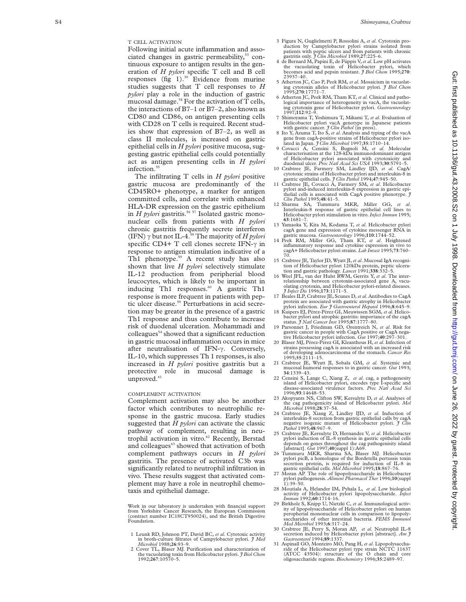Following initial acute inflammation and associated changes in gastric permeability,<sup>53</sup> continuous exposure to antigen results in the generation of *H pylori* specific T cell and B cell responses  $(f_1 \tilde{g}^T)$ .<sup>39</sup> Evidence from murine studies suggests that T cell responses to *H pylori* play a role in the induction of gastric mucosal damage.<sup>54</sup> For the activation of  $T$  cells, the interactions of B7–1 or B7–2, also known as CD80 and CD86, on antigen presenting cells with CD28 on T cells is required. Recent studies show that expression of B7–2, as well as class II molecules, is increased on gastric epithelial cells in *H pylori* positive mucosa, suggesting gastric epithelial cells could potentially act as antigen presenting cells in *H pylori* infection.<sup>55</sup>

The infiltrating T cells in *H pylori* positive gastric mucosa are predominantly of the CD45RO+ phenotype, a marker for antigen committed cells, and correlate with enhanced HLA-DR expression on the gastric epithelium in *H pylori* gastritis.<sup>56 57</sup> Isolated gastric mononuclear cells from patients with *H pylori* chronic gastritis frequently secrete interferon (IFN)  $\gamma$  but not IL-4.<sup>58</sup> The majority of *H pylori* specific CD4+ T cell clones secrete IFN- $\gamma$  in response to antigen stimulation indicative of a Th1 phenotype.<sup>59</sup> A recent study has also shown that live *H pylori* selectively stimulate IL-12 production from peripherial blood leucocytes, which is likely to be important in inducing Th1 responses.<sup>60</sup> A gastric Th1 response is more frequent in patients with peptic ulcer disease.<sup>59</sup> Perturbations in acid secretion may be greater in the presence of a gastric Th1 response and thus contribute to increase risk of duodenal ulceration. Mohammadi and colleagues $54$  showed that a significant reduction in gastric mucosal inflammation occurs in mice after neutralisation of IFN-y. Conversely, IL-10, which suppresses Th 1 responses, is also increased in *H pylori* positive gastritis but a protective role in mucosal damage is unproved.<sup>61</sup>

#### COMPLEMENT ACTIVATION

Complement activation may also be another factor which contributes to neutrophilic response in the gastric mucosa. Early studies suggested that *H pylori* can activate the classic pathway of complement, resulting in neutrophil activation in vitro.<sup>62</sup> Recently, Berstad and colleagues<sup>63</sup> showed that activation of both complement pathways occurs in *H pylori* gastritis. The presence of activated C3b was significantly related to neutrophil infiltration in vivo. These results suggest that activated complement may have a role in neutrophil chemotaxis and epithelial damage.

Work in our laboratory is undertaken with financial support from Yorkshire Cancer Research, the European Commission (contract number IC18CT950024), and the British Digestive Foundation.

- 1 Leunk RD, Johnson PT, David BC, *et al*. Cytotoxic activity in broth-culture filtrates of Campylobacter pylori. *J Med Microbiol* 1988;**26**:93–9.
- 2 Cover TL, Blaser MJ. Purification and characterization of the vacuolating toxin from Helicobacter pylori. *J Biol Chem* 1992;**267**:10570–5.
- 3 Figura N, Guglielmetti P, Rossolini A, *et al*. Cytotoxin production by Campylobacter pylori strains isolated from patients with peptic ulcers and from patients with chronic gastritis only. *J Clin Microbiol* 1989;**27**:225–6.
- 4 de Bernard M, Papini E, de Fiippis V,*et al*. Low pH activates the vacuolating toxin of Helicobacter pylori, which becomes acid and pepsin resistant. *J Biol Chem* 1995;**270** : 23937–40.
- 5 Atherton JC, Cao P, Peek RM, *et al*. Mosaicism in vacuolating cytotoxin alleles of Helicobacter pylori. *J Biol Chem* 1995;**270**:17771–7.
- 6 Atherton JC, Peek RM, Tham KT, *et al*. Clinical and patho-logical importance of heterogeneity in vacA, the vacuolating cytotoxin gene of Helicobacter pylori. *Gastroenterology* 1997;**112**:92–9.
- 7 Shimoyama T, Yoshimura T, Mikami T, *et al.* Evaluation of Helicobacter pylori vacA genotype in Japanese patients with gastric cancer. *J Clin Pathol* (in press). 8 Ito Y, Azuma T, Ito S, *et al.* Analysis and typing of
- gene from cagA-positive strains of Helicobacter pylori iso-lated in Japan. *J Clin Microbiol* 1997;**35**:1710–14.
- 9 Covacci A, Censini S, Bugnoli M, *et al*. Molecular characterisation at the 128-kDa immunodominant antigen of Helicobacter pylori associated with cytotoxicity and
- duodenal ulcer. *Proc Natl Acad Sci USA* 1993;**30**:5791–5. 10 Crabtree JE, Farmery SM, Lindley IJD, *et al*. CagA/ cytotoxic strains of Helicobacter pylori and interleukin-8 in gastric epithelial cells. *J Clin Pathol* 1994;**47**:945–50.
- 11 Crabtree JE, Covacci A, Farmery SM, *et al*. Helicobacter pylori and-induced interleukin-8 expression in gastric epi-thelial cells is associated with CagA positive phenotype. *J Clin Pathol* 1995;**48**:41–5.
- 12 Sharma SA, Tummuru MKR, Miller GG, *et al* . Interleukin-8 response of gastric epithelial cell lines to Helicobacter pylori stimulation in vitro. *Infect Immun* 1995; **63**:1681–7.
- 13 Yamaoka Y, Kita M, Kodama T, *et al*. Helicobacter pylori cagA gene and expression of cytokine messenger RNA in gastric mucosa. *Gastroenterology* 1996;**110**:1744–52.
- 14 Peek RM, Miller GG, Tham KT, *et al*. Heightened inflammatory response and cytokine expression in vivo to cagA+ Helicobacter pylori strains. *Lab Invest* 1995;**73**:760– 70.
- 15 Crabtree JE, Taylor JD, Wyatt JI, *et al*. Mucosal IgA recognition of Helicobacter pylori 120kDa protein, peptic ulcera-tion and gastric pathology. *Lancet* 1991;**338**:332–5*.*
- 16 Weel JFL, van der Hulst RWM, Gerrits Y, *et al*. The interrelationship between cytotoxin-associated gene A, vacuolating cytotoxin, and Helicobacter pylori-related diseases. *J Infect Dis* 1996;**173**:1171–5.
- 17 Beales ILP, Crabtree JE, Scunes D, *et al*. Antibodies to CagA protein are associated with gastric atrophy in Helicobacter pylori infection. *Eur J Gastroenterol Hepatol* 1996; **8**:645–9.
- 18 Kuipers EJ, Pérez-Pérez GI, Meuwissen SGM, *et al*. Helicobacter pylori and atrophic gastritis: importance of the cagA<br>status. *J Natl Cancer Inst* 1995;87:1777–80.<br>19 Parsonnet J, Friedman GD, Orentreich N, *et al*. Risk for
- gastric cancer in people with CagA positive or CagA nega-tive Helicobacter pylori infection. *Gut* 1997;**40**:297–301.
- 20 Blaser MJ, Pérez-Pérez GI, Kleanthous H, *et al*. Infection of strains possessing cagA is associated with an increased risk of developing adenocarcinoma of the stomach. *Cancer Res* 1995;**55**:2111–15.
- 21 Crabtree JE, Wyatt JI, Sobala GM, *et al.* Systemic and mucosal humoral responses to in gastric cancer. *Gut* 1993; **34**:1339–43.
- 22 Censini S, Lange C, Xiang Z, *et al*. cag, a pathogenesity island of Helicobacter pylori, encodes type I-specific and disease-associated virulence factors. *Proc Natl Acad Sci* 1996;**93**:14648–53.
- 23 Akopyants NS, Clifton SW, Kersulyte D, *et al*. Analyses of the cag pathogenicity island of Helicobacter pylori. *Mol Microbiol* 1998;**28**:37–54.
- 24 Crabtree JE, Xiang Z, Lindley IJD, *et al*. Induction of interleukin-8 secretion from gastric epithelial calls by cagA negative isogenic mutant of Helicobacter pylori. *J Clin Pathol* 1995;**48**:967–9.
- 25 Crabtree JE, Kersulyte D, Hernandez V, *et al*. Helicobacter pylori induction of IL-8 synthesis in gastric epithelial cells depends on genes throughout the cag pathogenisity island [abstract]. *Gut* 1997;**40**(suppl 1):A69.
- 26 Tummuru MKR, Sharma SA, Blaser MJ. Helicobacter pylori picB, a homologue of the Bordetella pertussis toxin secretion protein, is required for induction of IL-8 in
- gastric epithelial cells. *Mol Microbiol* 1995;**18**:867–76. 27 Moran AP. The role of lipopolysaccharide in Helicobacter pylori pathogenesis. *Aliment Pharmacol Ther* 1996;**10**(suppl 1):39–50.
- 28 Moutiala A, Helander IM, Pyhala L, *et al*. Low biological activity of Helicobacter pylori lipopolysaccharide. *Infect Immun* 1992;**60**:1714–16.
- 29 Birkholz S, Knipp U, Nietzki C, *et al*. Immunological activ-ity of lipopolysaccharide of Helicobacter pylori on human peropherial mononuclear cells in comparison to lipopolysaccharides of other intestinal bacteria. *FEMS Immunol Med Microbiol* 1993; **6**:317–24.
- 30 Crabtree JE, Perry S, Moran AP, *et al*. Neutrophil IL-8 secretion induced by Helicobacter pylori [abstract]. *Am J Gastroenterol* 1994;**89**:1337.
- 31 Aspinall GO, Monteiro MO, Pang H, *et al*. Lipopolysaccharide of the Helicobacter pylori type strain NCTC 11637 (ATCC 43504): structure of the O chain and core oligosaccharide regions. *Biochemistry* 1996;**35**:2489–97.